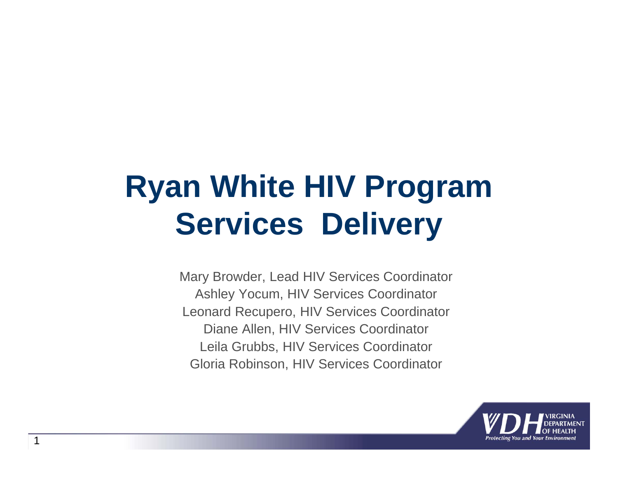## **Ryan White HIV Program Services Delivery**

Mary Browder, Lead HIV Services Coordinator Ashley Yocum, HIV Services Coordinator Leonard Recupero, HIV Services Coordinator Diane Allen, HIV Services Coordinator Leila Grubbs, HIV Services Coordinator Gloria Robinson, HIV Services Coordinator

1

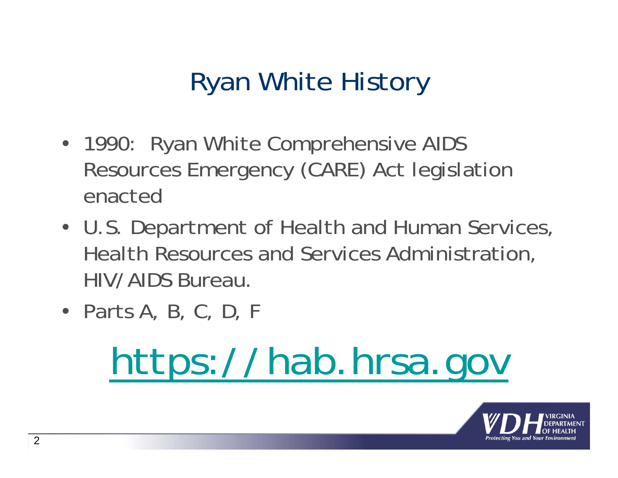#### Ryan White History

- 1990: Ryan White Comprehensive AIDS Resources Emergency (CARE) Act legislation enacted
- U.S. Department of Health and Human Services, Health Resources and Services Administration, HIV/AIDS Bureau.
- Parts A, B, C, D, F

# https://hab.hrsa.gov

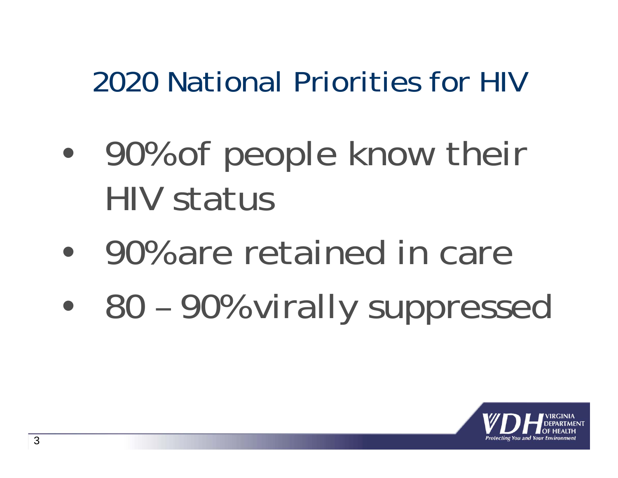## 2020 National Priorities for HIV

- $\bullet$  90% of people know their HIV status
- $\bullet$ 90% are retained in care
- $\bullet$ 80 – 90% virally suppressed

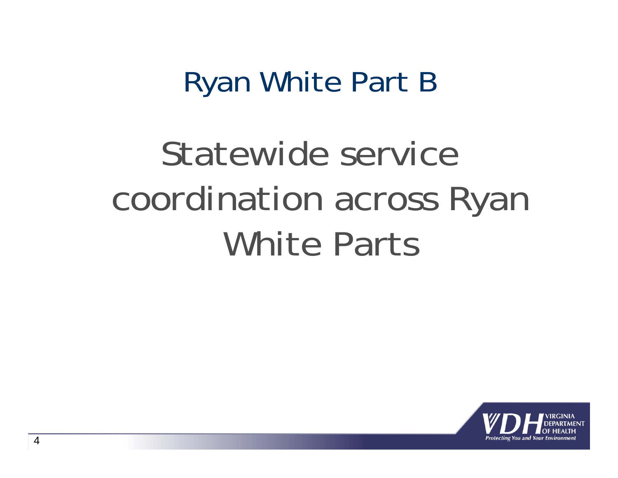#### Ryan White Part B

# Statewide service coordination across Ryan White Parts

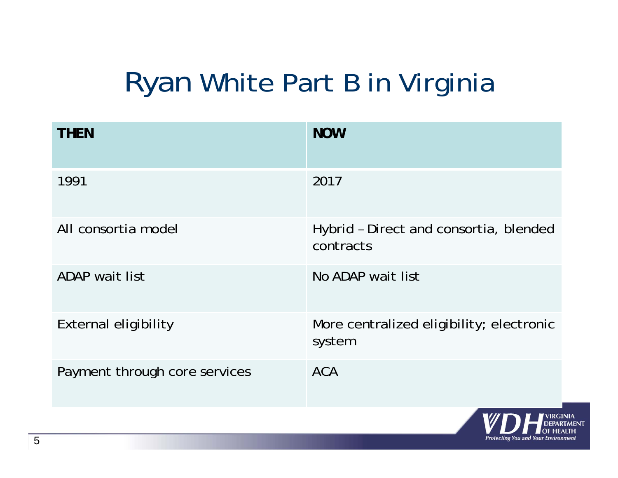### Ryan White Part B in Virginia

| <b>NOW</b>                                          |
|-----------------------------------------------------|
| 2017                                                |
| Hybrid - Direct and consortia, blended<br>contracts |
| No ADAP wait list                                   |
| More centralized eligibility; electronic<br>system  |
| <b>ACA</b>                                          |
|                                                     |

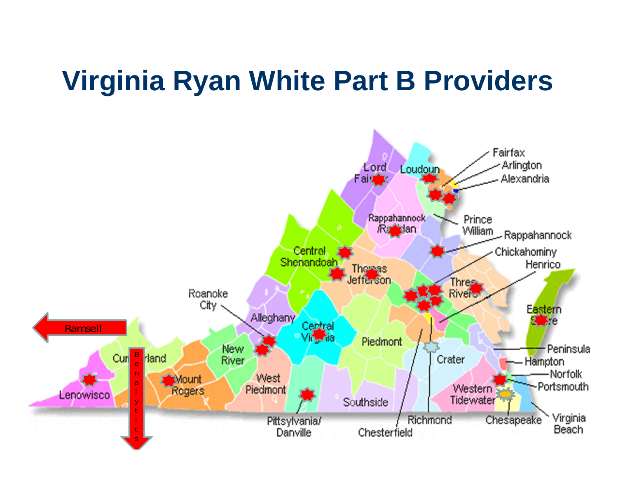#### **Virginia Ryan White Part B Providers**

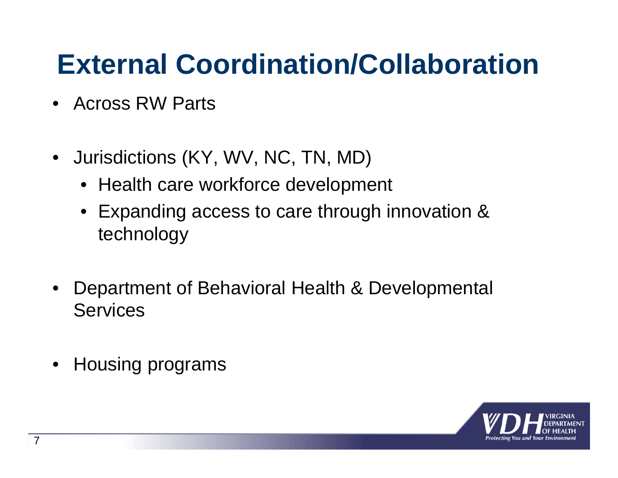#### **External Coordination/Collaboration**

- Across RW Parts
- $\bullet$  Jurisdictions (KY, WV, NC, TN, MD)
	- Health care workforce development
	- Expanding access to care through innovation & technology
- $\bullet$  Department of Behavioral Health & Developmental **Services**
- $\bullet$ Housing programs

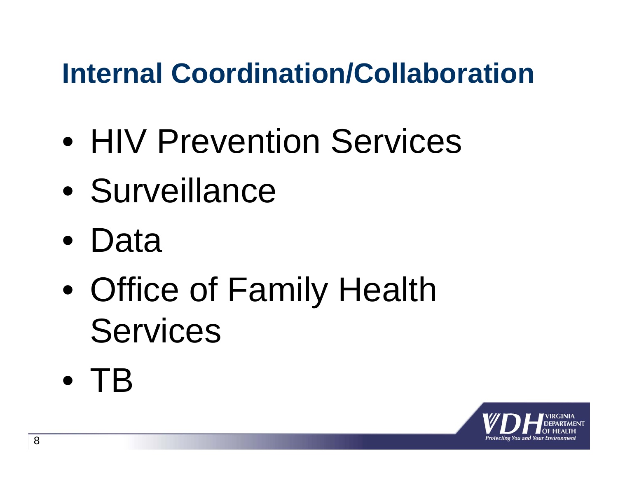#### **Internal Coordination/Collaboration**

- $\bullet$ **HIV Prevention Services**
- $\bullet$ **Surveillance**
- $\bullet$ Data
- $\bullet$  Office of Family Health Services
- $\bullet$ TB